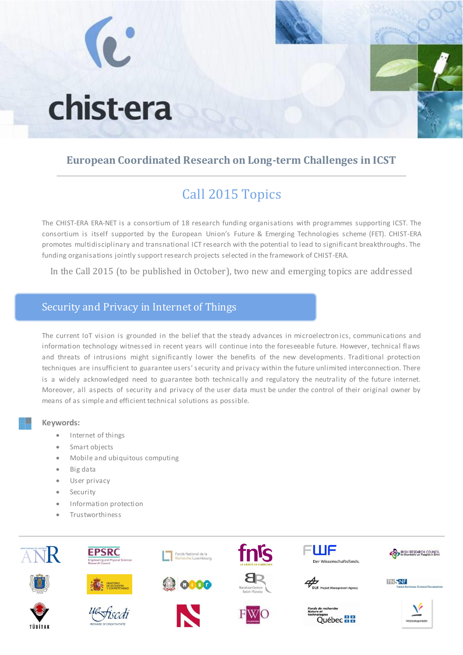# chist-era

## **European Coordinated Research on Long-term Challenges in ICST**

# Call 2015 Topics

The CHIST-ERA ERA-NET is a consortium of 18 research funding organisations with programmes supporting ICST. The consortium is itself supported by the European Union's Future & Emerging Technologies scheme (FET). CHIST-ERA promotes multidisciplinary and transnational ICT research with the potential to lead to significant breakthroughs. The funding organisations jointly support research projects selected in the framework of CHIST-ERA.

In the Call 2015 (to be published in October), two new and emerging topics are addressed

## Security and Privacy in Internet of Things

The current IoT vision is grounded in the belief that the steady advances in microelectronics, communications and information technology witnessed in recent years will continue into the foreseeable future. However, technical flaws and threats of intrusions might significantly lower the benefits of the new developments. Traditional protection techniques are insufficient to guarantee users' security and privacy within the future unlimited interconnection. There is a widely acknowledged need to guarantee both technically and regulatory the neutrality of the future internet. Moreover, all aspects of security and privacy of the user data must be under the control of their original owner by means of as simple and efficient technical solutions as possible.

#### **Keywords:**

- Internet of things
- Smart objects
- Mobile and ubiquitous computing
- Big data
- User privacy
- Security
- Information protection
- Trustworthiness